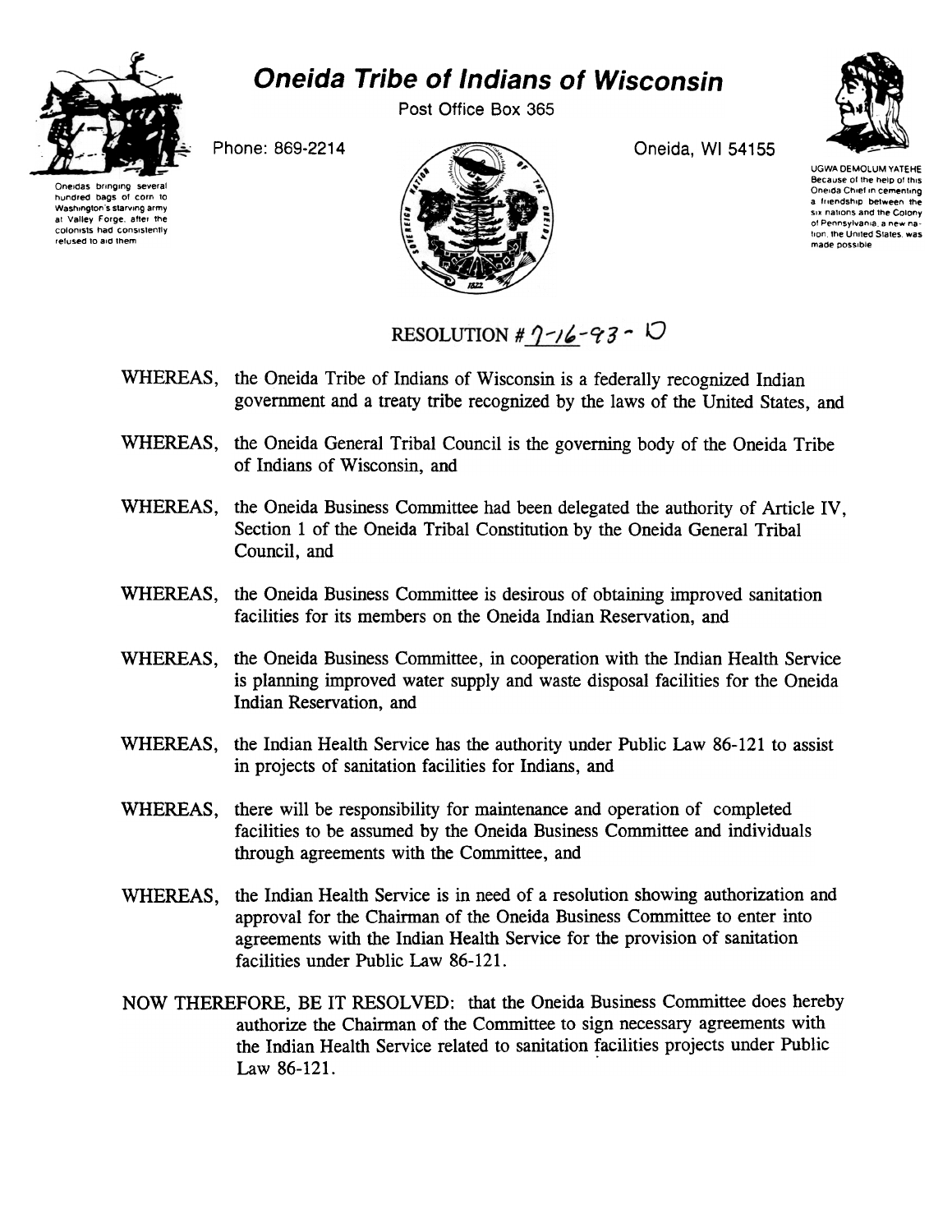

## Oneida Tribe of Indians of Wisconsin

Post Office Box 365

Phone: 869-2214 **Oneida, WI 54155** 



UGWA DEMOLUM YATEHE Because of the help of this Oneida Chief in cementing a friendship between the Six nations and the Colony of Pennsylvania, a new nation, the United States, was made possible



RESOLUTION #  $1 - 16 - 93 - 10$ 

- WHEREAS, the Oneida Tribe of Indians of Wisconsin is a federally recognized Indian government and a treaty tribe recognized by the laws of the United States, and
- WHEREAS, the Oneida General Tribal Council is the governing body of the Oneida Tribe of Indians of Wisconsin, and
- WHEREAS, the Oneida Business Committee had been delegated the authority of Article IV, Section 1 of the Oneida Tribal Constitution by the Oneida General Tribal Council, and
- WHEREAS, the Oneida Business Committee is desirous of obtaining improved sanitation facilities for its members on the Oneida Indian Reservation, and
- WHEREAS, the Oneida Business Committee, in cooperation with the Indian Health Service is planning improved water supply and waste disposal facilities for the Oneida Indian Reservation, and
- WHEREAS, the Indian Health Service has the authority under Public Law 86-121 to assist in projects of sanitation facilities for Indians, and
- WHEREAS, there will be responsibility for maintenance and operation of completed facilities to be assumed by the Oneida Business Committee and individuals through agreements with the Committee, and
- WHEREAS, the Indian Health Service is in need of a resolution showing authorization and approval for the Chairman of the Oneida Business Committee to enter into agreements with the Indian Health Service for the provision of sanitation facilities under Public Law 86-121.
- NOW THEREFORE, BE IT RESOLVED: that the Oneida Business Committee does hereby authorize the Chairman of the Committee to sign necessary agreements with the Indian Health Service related to sanitation facilities projects under Public Law 86-121.